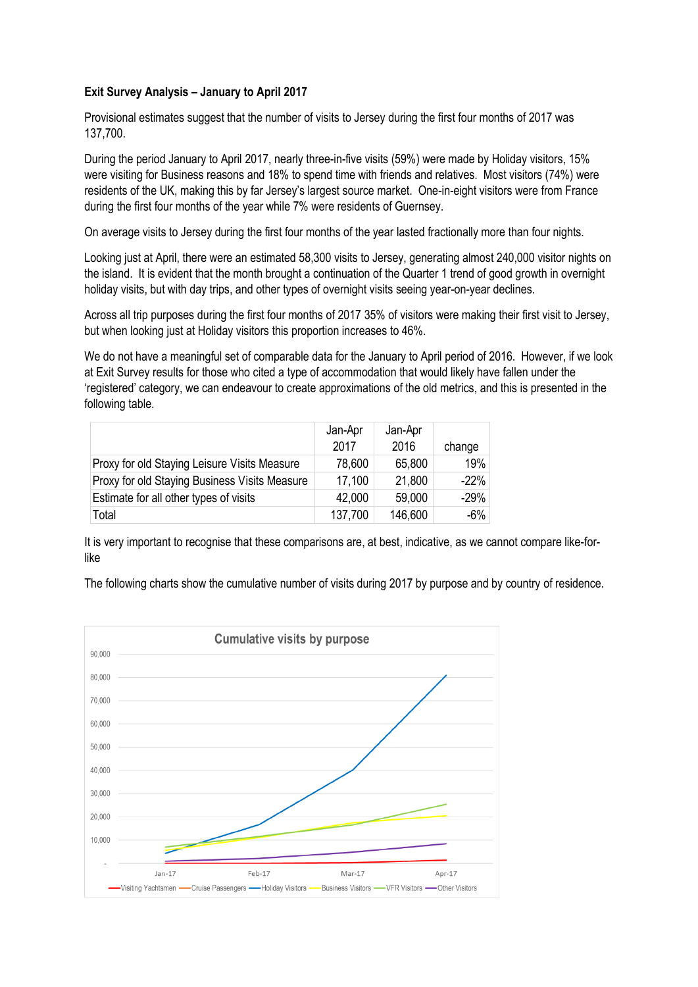## **Exit Survey Analysis – January to April 2017**

Provisional estimates suggest that the number of visits to Jersey during the first four months of 2017 was 137,700.

During the period January to April 2017, nearly three-in-five visits (59%) were made by Holiday visitors, 15% were visiting for Business reasons and 18% to spend time with friends and relatives. Most visitors (74%) were residents of the UK, making this by far Jersey's largest source market. One-in-eight visitors were from France during the first four months of the year while 7% were residents of Guernsey.

On average visits to Jersey during the first four months of the year lasted fractionally more than four nights.

Looking just at April, there were an estimated 58,300 visits to Jersey, generating almost 240,000 visitor nights on the island. It is evident that the month brought a continuation of the Quarter 1 trend of good growth in overnight holiday visits, but with day trips, and other types of overnight visits seeing year-on-year declines.

Across all trip purposes during the first four months of 2017 35% of visitors were making their first visit to Jersey, but when looking just at Holiday visitors this proportion increases to 46%.

We do not have a meaningful set of comparable data for the January to April period of 2016. However, if we look at Exit Survey results for those who cited a type of accommodation that would likely have fallen under the 'registered' category, we can endeavour to create approximations of the old metrics, and this is presented in the following table.

|                                               | Jan-Apr<br>2017 | Jan-Apr<br>2016 | change |
|-----------------------------------------------|-----------------|-----------------|--------|
| Proxy for old Staying Leisure Visits Measure  | 78,600          | 65,800          | 19%    |
| Proxy for old Staying Business Visits Measure | 17,100          | 21,800          | $-22%$ |
| Estimate for all other types of visits        | 42,000          | 59,000          | $-29%$ |
| Total                                         | 137,700         | 146,600         | $-6%$  |

It is very important to recognise that these comparisons are, at best, indicative, as we cannot compare like-forlike

The following charts show the cumulative number of visits during 2017 by purpose and by country of residence.